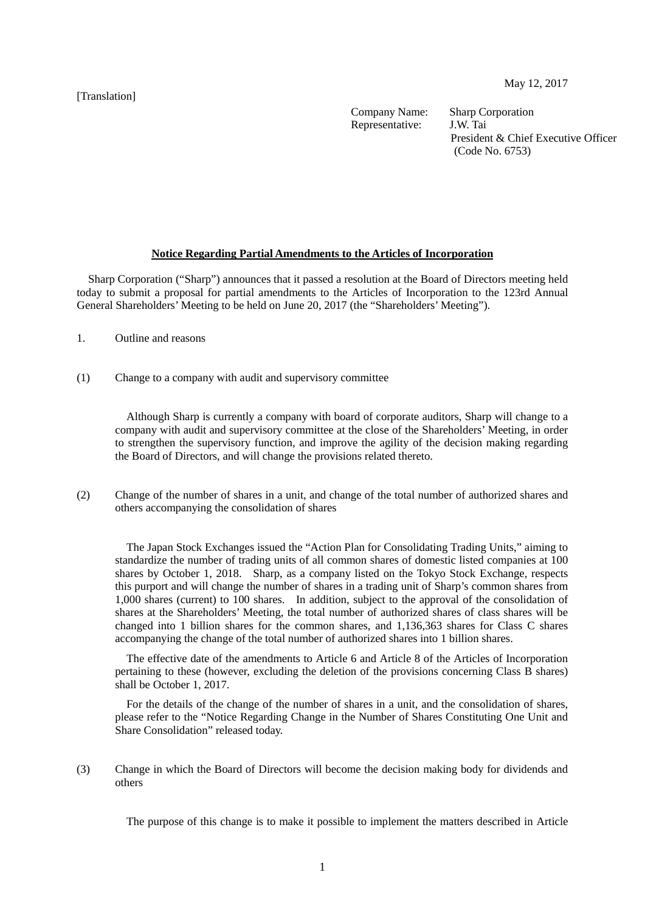[Translation]

Company Name: Sharp Corporation<br>Representative: J.W. Tai Representative:

President & Chief Executive Officer (Code No. 6753)

### **Notice Regarding Partial Amendments to the Articles of Incorporation**

Sharp Corporation ("Sharp") announces that it passed a resolution at the Board of Directors meeting held today to submit a proposal for partial amendments to the Articles of Incorporation to the 123rd Annual General Shareholders' Meeting to be held on June 20, 2017 (the "Shareholders' Meeting").

- 1. Outline and reasons
- (1) Change to a company with audit and supervisory committee

Although Sharp is currently a company with board of corporate auditors, Sharp will change to a company with audit and supervisory committee at the close of the Shareholders' Meeting, in order to strengthen the supervisory function, and improve the agility of the decision making regarding the Board of Directors, and will change the provisions related thereto.

(2) Change of the number of shares in a unit, and change of the total number of authorized shares and others accompanying the consolidation of shares

The Japan Stock Exchanges issued the "Action Plan for Consolidating Trading Units," aiming to standardize the number of trading units of all common shares of domestic listed companies at 100 shares by October 1, 2018. Sharp, as a company listed on the Tokyo Stock Exchange, respects this purport and will change the number of shares in a trading unit of Sharp's common shares from 1,000 shares (current) to 100 shares. In addition, subject to the approval of the consolidation of shares at the Shareholders' Meeting, the total number of authorized shares of class shares will be changed into 1 billion shares for the common shares, and 1,136,363 shares for Class C shares accompanying the change of the total number of authorized shares into 1 billion shares.

The effective date of the amendments to Article 6 and Article 8 of the Articles of Incorporation pertaining to these (however, excluding the deletion of the provisions concerning Class B shares) shall be October 1, 2017.

For the details of the change of the number of shares in a unit, and the consolidation of shares, please refer to the "Notice Regarding Change in the Number of Shares Constituting One Unit and Share Consolidation" released today.

(3) Change in which the Board of Directors will become the decision making body for dividends and others

The purpose of this change is to make it possible to implement the matters described in Article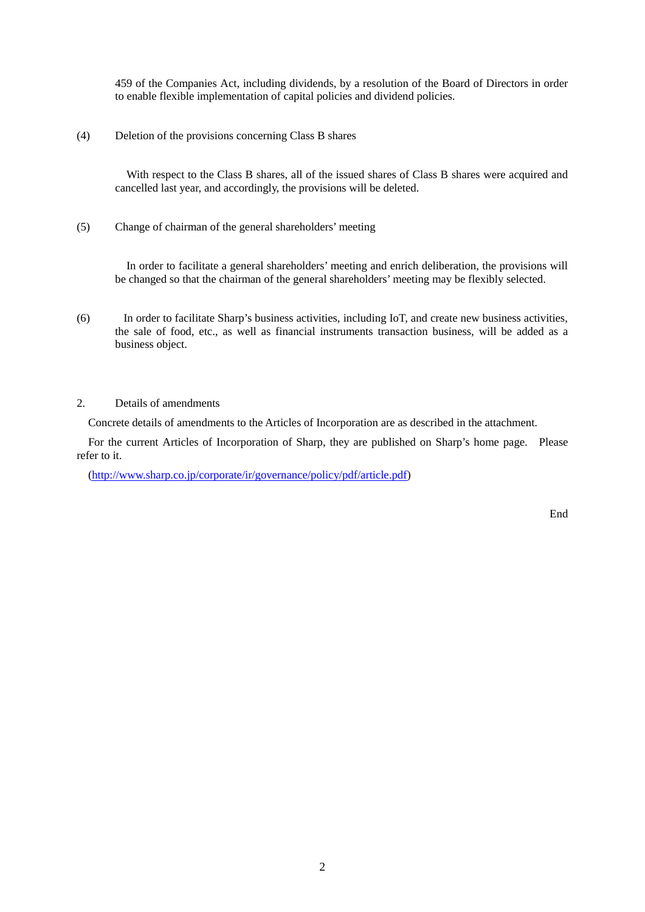459 of the Companies Act, including dividends, by a resolution of the Board of Directors in order to enable flexible implementation of capital policies and dividend policies.

(4) Deletion of the provisions concerning Class B shares

With respect to the Class B shares, all of the issued shares of Class B shares were acquired and cancelled last year, and accordingly, the provisions will be deleted.

(5) Change of chairman of the general shareholders' meeting

In order to facilitate a general shareholders' meeting and enrich deliberation, the provisions will be changed so that the chairman of the general shareholders' meeting may be flexibly selected.

- (6) In order to facilitate Sharp's business activities, including IoT, and create new business activities, the sale of food, etc., as well as financial instruments transaction business, will be added as a business object.
- 2. Details of amendments

Concrete details of amendments to the Articles of Incorporation are as described in the attachment.

For the current Articles of Incorporation of Sharp, they are published on Sharp's home page. Please refer to it.

[\(http://www.sharp.co.jp/corporate/ir/governance/policy/pdf/article.pdf\)](http://www.sharp.co.jp/corporate/ir/governance/policy/pdf/article.pdf)

End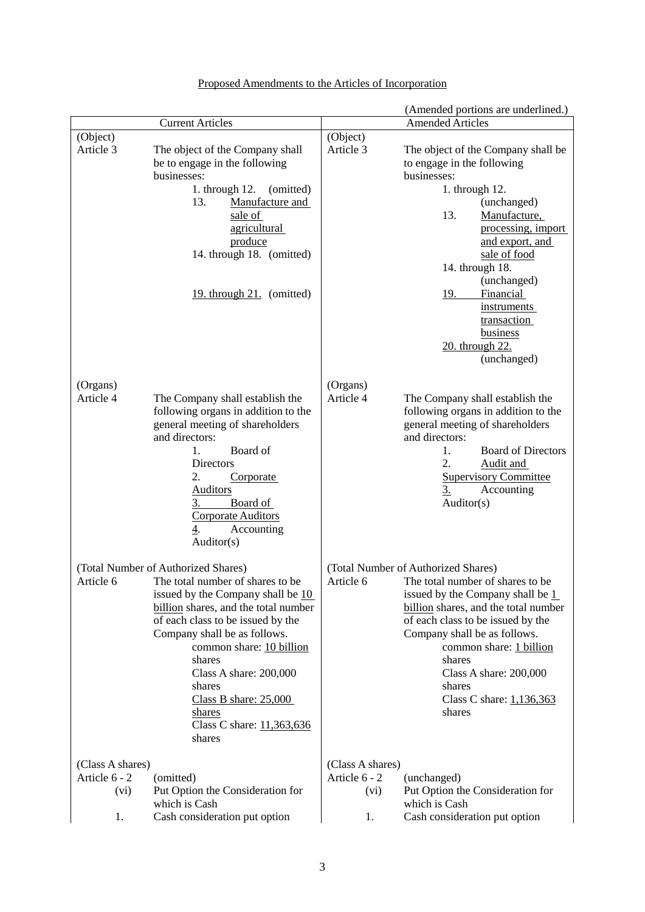|                                                 |                                                                                                                                                                                                                                                                                                                                                                                        |                                                 | (Amended portions are underlined.)                                                                                                                                                                                                                                                                                                        |
|-------------------------------------------------|----------------------------------------------------------------------------------------------------------------------------------------------------------------------------------------------------------------------------------------------------------------------------------------------------------------------------------------------------------------------------------------|-------------------------------------------------|-------------------------------------------------------------------------------------------------------------------------------------------------------------------------------------------------------------------------------------------------------------------------------------------------------------------------------------------|
|                                                 | <b>Current Articles</b>                                                                                                                                                                                                                                                                                                                                                                |                                                 | <b>Amended Articles</b>                                                                                                                                                                                                                                                                                                                   |
| (Object)<br>Article 3                           | The object of the Company shall<br>be to engage in the following<br>businesses:<br>1. through $12$ .<br>(omitted)<br>13.<br>Manufacture and<br>sale of<br>agricultural<br>produce<br>14. through 18. (omitted)<br>19. through 21. (omitted)                                                                                                                                            | (Object)<br>Article 3                           | The object of the Company shall be<br>to engage in the following<br>businesses:<br>1. through 12.<br>(unchanged)<br>13.<br>Manufacture,<br>processing, import<br>and export, and<br>sale of food<br>14. through 18.<br>(unchanged)<br>19.<br>Financial<br><i>instruments</i><br>transaction<br>business<br>20. through 22.<br>(unchanged) |
| (Organs)<br>Article 4                           | The Company shall establish the<br>following organs in addition to the<br>general meeting of shareholders<br>and directors:<br>Board of<br>1.<br><b>Directors</b><br>2.<br>Corporate<br><b>Auditors</b><br>3.<br>Board of<br><b>Corporate Auditors</b><br>4.<br>Accounting<br>Auditor(s)                                                                                               | (Organs)<br>Article 4                           | The Company shall establish the<br>following organs in addition to the<br>general meeting of shareholders<br>and directors:<br><b>Board of Directors</b><br>1.<br>2.<br>Audit and<br><b>Supervisory Committee</b><br>$\overline{3}$ .<br>Accounting<br>Auditor(s)                                                                         |
| Article 6                                       | (Total Number of Authorized Shares)<br>The total number of shares to be<br>issued by the Company shall be 10<br>billion shares, and the total number<br>of each class to be issued by the<br>Company shall be as follows.<br>common share: 10 billion<br>shares<br>Class A share: 200,000<br>shares<br>Class B share: $25,000$<br><u>shares</u><br>Class C share: 11,363,636<br>shares | Article 6                                       | (Total Number of Authorized Shares)<br>The total number of shares to be<br>issued by the Company shall be 1<br>billion shares, and the total number<br>of each class to be issued by the<br>Company shall be as follows.<br>common share: 1 billion<br>shares<br>Class A share: 200,000<br>shares<br>Class C share: 1,136,363<br>shares   |
| (Class A shares)<br>Article 6 - 2<br>(vi)<br>1. | (omitted)<br>Put Option the Consideration for<br>which is Cash<br>Cash consideration put option                                                                                                                                                                                                                                                                                        | (Class A shares)<br>Article 6 - 2<br>(vi)<br>1. | (unchanged)<br>Put Option the Consideration for<br>which is Cash<br>Cash consideration put option                                                                                                                                                                                                                                         |

# Proposed Amendments to the Articles of Incorporation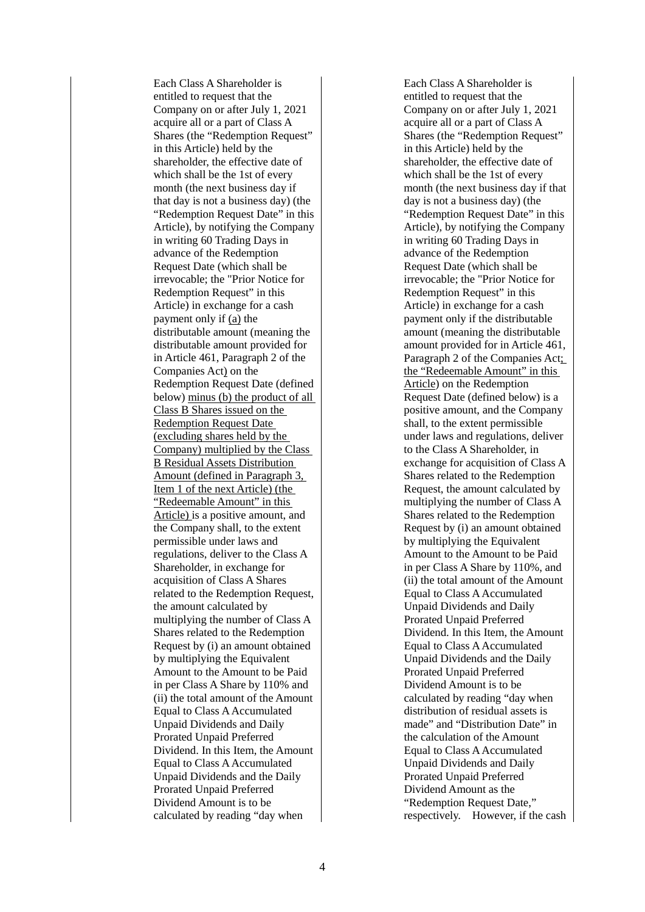Each Class A Shareholder is entitled to request that the Company on or after July 1, 2021 acquire all or a part of Class A Shares (the "Redemption Request" in this Article) held by the shareholder, the effective date of which shall be the 1st of every month (the next business day if that day is not a business day) (the "Redemption Request Date" in this Article), by notifying the Company in writing 60 Trading Days in advance of the Redemption Request Date (which shall be irrevocable; the "Prior Notice for Redemption Request" in this Article) in exchange for a cash payment only if (a) the distributable amount (meaning the distributable amount provided for in Article 461, Paragraph 2 of the Companies Act) on the Redemption Request Date (defined below) minus (b) the product of all Class B Shares issued on the Redemption Request Date (excluding shares held by the Company) multiplied by the Class B Residual Assets Distribution Amount (defined in Paragraph 3, Item 1 of the next Article) (the "Redeemable Amount" in this Article) is a positive amount, and the Company shall, to the extent permissible under laws and regulations, deliver to the Class A Shareholder, in exchange for acquisition of Class A Shares related to the Redemption Request, the amount calculated by multiplying the number of Class A Shares related to the Redemption Request by (i) an amount obtained by multiplying the Equivalent Amount to the Amount to be Paid in per Class A Share by 110% and (ii) the total amount of the Amount Equal to Class A Accumulated Unpaid Dividends and Daily Prorated Unpaid Preferred Dividend. In this Item, the Amount Equal to Class A Accumulated Unpaid Dividends and the Daily Prorated Unpaid Preferred Dividend Amount is to be calculated by reading "day when

Each Class A Shareholder is entitled to request that the Company on or after July 1, 2021 acquire all or a part of Class A Shares (the "Redemption Request" in this Article) held by the shareholder, the effective date of which shall be the 1st of every month (the next business day if that day is not a business day) (the "Redemption Request Date" in this Article), by notifying the Company in writing 60 Trading Days in advance of the Redemption Request Date (which shall be irrevocable; the "Prior Notice for Redemption Request" in this Article) in exchange for a cash payment only if the distributable amount (meaning the distributable amount provided for in Article 461, Paragraph 2 of the Companies Act; the "Redeemable Amount" in this Article) on the Redemption Request Date (defined below) is a positive amount, and the Company shall, to the extent permissible under laws and regulations, deliver to the Class A Shareholder, in exchange for acquisition of Class A Shares related to the Redemption Request, the amount calculated by multiplying the number of Class A Shares related to the Redemption Request by (i) an amount obtained by multiplying the Equivalent Amount to the Amount to be Paid in per Class A Share by 110%, and (ii) the total amount of the Amount Equal to Class A Accumulated Unpaid Dividends and Daily Prorated Unpaid Preferred Dividend. In this Item, the Amount Equal to Class A Accumulated Unpaid Dividends and the Daily Prorated Unpaid Preferred Dividend Amount is to be calculated by reading "day when distribution of residual assets is made" and "Distribution Date" in the calculation of the Amount Equal to Class A Accumulated Unpaid Dividends and Daily Prorated Unpaid Preferred Dividend Amount as the "Redemption Request Date," respectively. However, if the cash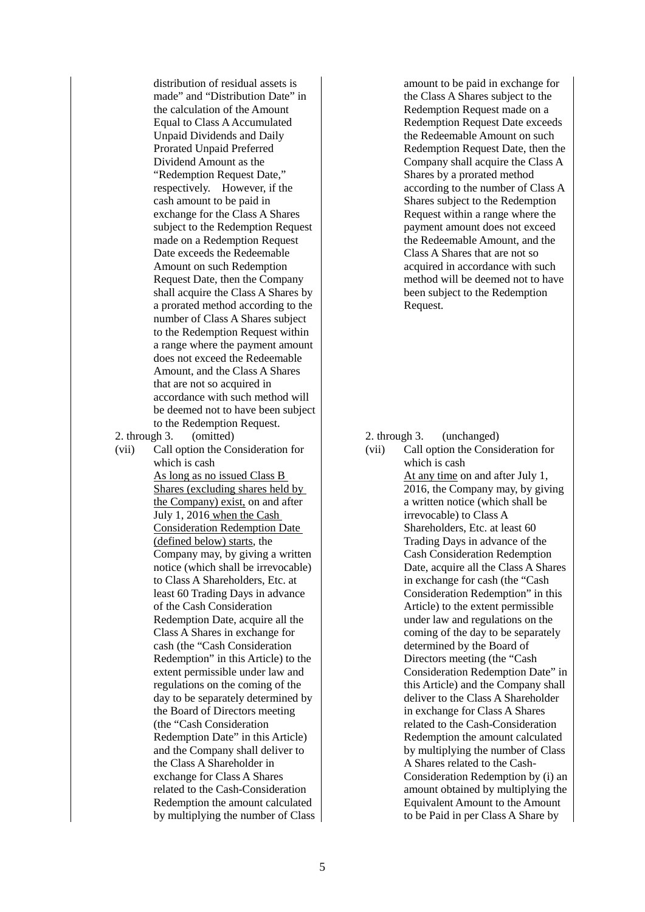distribution of residual assets is made" and "Distribution Date" in the calculation of the Amount Equal to Class A Accumulated Unpaid Dividends and Daily Prorated Unpaid Preferred Dividend Amount as the "Redemption Request Date," respectively. However, if the cash amount to be paid in exchange for the Class A Shares subject to the Redemption Request made on a Redemption Request Date exceeds the Redeemable Amount on such Redemption Request Date, then the Company shall acquire the Class A Shares by a prorated method according to the number of Class A Shares subject to the Redemption Request within a range where the payment amount does not exceed the Redeemable Amount, and the Class A Shares that are not so acquired in accordance with such method will be deemed not to have been subject to the Redemption Request.

2. through 3. (omitted)

(vii) Call option the Consideration for which is cash As long as no issued Class B Shares (excluding shares held by the Company) exist, on and after July 1, 2016 when the Cash Consideration Redemption Date (defined below) starts, the Company may, by giving a written notice (which shall be irrevocable) to Class A Shareholders, Etc. at least 60 Trading Days in advance of the Cash Consideration Redemption Date, acquire all the Class A Shares in exchange for cash (the "Cash Consideration Redemption" in this Article) to the extent permissible under law and regulations on the coming of the day to be separately determined by the Board of Directors meeting (the "Cash Consideration Redemption Date" in this Article) and the Company shall deliver to the Class A Shareholder in exchange for Class A Shares related to the Cash-Consideration Redemption the amount calculated by multiplying the number of Class amount to be paid in exchange for the Class A Shares subject to the Redemption Request made on a Redemption Request Date exceeds the Redeemable Amount on such Redemption Request Date, then the Company shall acquire the Class A Shares by a prorated method according to the number of Class A Shares subject to the Redemption Request within a range where the payment amount does not exceed the Redeemable Amount, and the Class A Shares that are not so acquired in accordance with such method will be deemed not to have been subject to the Redemption Request.

2. through 3. (unchanged)

(vii) Call option the Consideration for which is cash At any time on and after July 1, 2016, the Company may, by giving a written notice (which shall be irrevocable) to Class A Shareholders, Etc. at least 60 Trading Days in advance of the Cash Consideration Redemption Date, acquire all the Class A Shares in exchange for cash (the "Cash Consideration Redemption" in this Article) to the extent permissible under law and regulations on the coming of the day to be separately determined by the Board of Directors meeting (the "Cash Consideration Redemption Date" in this Article) and the Company shall deliver to the Class A Shareholder in exchange for Class A Shares related to the Cash-Consideration Redemption the amount calculated by multiplying the number of Class A Shares related to the Cash-Consideration Redemption by (i) an amount obtained by multiplying the Equivalent Amount to the Amount to be Paid in per Class A Share by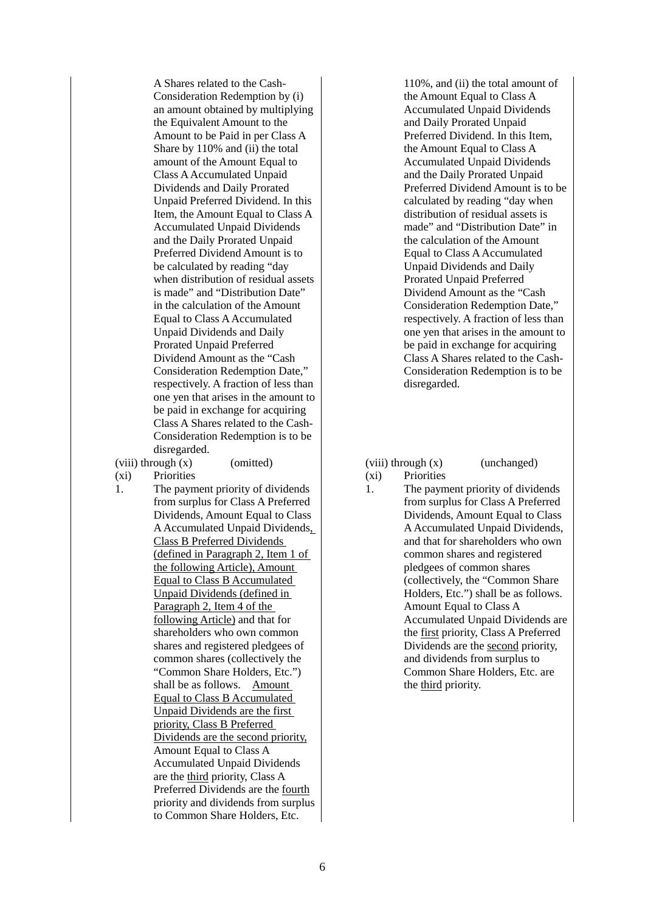A Shares related to the Cash-Consideration Redemption by (i) an amount obtained by multiplying the Equivalent Amount to the Amount to be Paid in per Class A Share by 110% and (ii) the total amount of the Amount Equal to Class A Accumulated Unpaid Dividends and Daily Prorated Unpaid Preferred Dividend. In this Item, the Amount Equal to Class A Accumulated Unpaid Dividends and the Daily Prorated Unpaid Preferred Dividend Amount is to be calculated by reading "day when distribution of residual assets is made" and "Distribution Date" in the calculation of the Amount Equal to Class A Accumulated Unpaid Dividends and Daily Prorated Unpaid Preferred Dividend Amount as the "Cash Consideration Redemption Date," respectively. A fraction of less than one yen that arises in the amount to be paid in exchange for acquiring Class A Shares related to the Cash-Consideration Redemption is to be disregarded.

(viii) through  $(x)$  (omitted) (viii) through  $(x)$  (unchanged)

(xi) Priorities

1. The payment priority of dividends from surplus for Class A Preferred Dividends, Amount Equal to Class AAccumulated Unpaid Dividends, Class B Preferred Dividends (defined in Paragraph 2, Item 1 of the following Article), Amount Equal to Class B Accumulated Unpaid Dividends (defined in Paragraph 2, Item 4 of the following Article) and that for shareholders who own common shares and registered pledgees of common shares (collectively the "Common Share Holders, Etc.") shall be as follows. Amount Equal to Class B Accumulated Unpaid Dividends are the first priority, Class B Preferred Dividends are the second priority, Amount Equal to Class A Accumulated Unpaid Dividends are the third priority, Class A Preferred Dividends are the fourth priority and dividends from surplus to Common Share Holders, Etc.

110%, and (ii) the total amount of the Amount Equal to Class A Accumulated Unpaid Dividends and Daily Prorated Unpaid Preferred Dividend. In this Item, the Amount Equal to Class A Accumulated Unpaid Dividends and the Daily Prorated Unpaid Preferred Dividend Amount is to be calculated by reading "day when distribution of residual assets is made" and "Distribution Date" in the calculation of the Amount Equal to Class A Accumulated Unpaid Dividends and Daily Prorated Unpaid Preferred Dividend Amount as the "Cash Consideration Redemption Date," respectively. A fraction of less than one yen that arises in the amount to be paid in exchange for acquiring Class A Shares related to the Cash-Consideration Redemption is to be disregarded.

- (xi) Priorities
- 1. The payment priority of dividends from surplus for Class A Preferred Dividends, Amount Equal to Class A Accumulated Unpaid Dividends, and that for shareholders who own common shares and registered pledgees of common shares (collectively, the "Common Share Holders, Etc.") shall be as follows. Amount Equal to Class A Accumulated Unpaid Dividends are the first priority, Class A Preferred Dividends are the second priority, and dividends from surplus to Common Share Holders, Etc. are the third priority.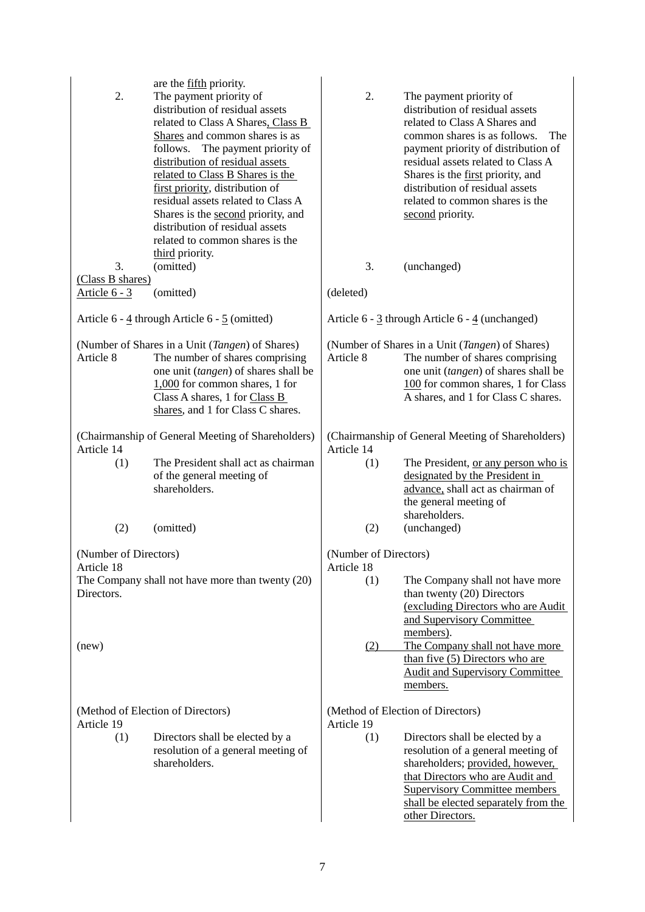| 2.                                                              | are the fifth priority.<br>The payment priority of<br>distribution of residual assets<br>related to Class A Shares, Class B<br>Shares and common shares is as<br>follows. The payment priority of<br>distribution of residual assets<br>related to Class B Shares is the<br>first priority, distribution of<br>residual assets related to Class A<br>Shares is the second priority, and<br>distribution of residual assets<br>related to common shares is the | 2.                                                              | The payment priority of<br>distribution of residual assets<br>related to Class A Shares and<br>common shares is as follows.<br>The<br>payment priority of distribution of<br>residual assets related to Class A<br>Shares is the first priority, and<br>distribution of residual assets<br>related to common shares is the<br>second priority. |
|-----------------------------------------------------------------|---------------------------------------------------------------------------------------------------------------------------------------------------------------------------------------------------------------------------------------------------------------------------------------------------------------------------------------------------------------------------------------------------------------------------------------------------------------|-----------------------------------------------------------------|------------------------------------------------------------------------------------------------------------------------------------------------------------------------------------------------------------------------------------------------------------------------------------------------------------------------------------------------|
| 3.<br>(Class B shares)                                          | third priority.<br>(omitted)                                                                                                                                                                                                                                                                                                                                                                                                                                  | 3.                                                              | (unchanged)                                                                                                                                                                                                                                                                                                                                    |
| Article $6 - 3$                                                 | (omitted)                                                                                                                                                                                                                                                                                                                                                                                                                                                     | (deleted)                                                       |                                                                                                                                                                                                                                                                                                                                                |
|                                                                 | Article $6 - 4$ through Article $6 - 5$ (omitted)                                                                                                                                                                                                                                                                                                                                                                                                             | Article 6 - 3 through Article 6 - 4 (unchanged)                 |                                                                                                                                                                                                                                                                                                                                                |
| Article 8                                                       | (Number of Shares in a Unit (Tangen) of Shares)<br>The number of shares comprising<br>one unit (tangen) of shares shall be<br>$1,000$ for common shares, 1 for<br>Class A shares, 1 for Class B<br>shares, and 1 for Class C shares.                                                                                                                                                                                                                          | Article 8                                                       | (Number of Shares in a Unit (Tangen) of Shares)<br>The number of shares comprising<br>one unit (tangen) of shares shall be<br>100 for common shares, 1 for Class<br>A shares, and 1 for Class C shares.                                                                                                                                        |
| (Chairmanship of General Meeting of Shareholders)<br>Article 14 |                                                                                                                                                                                                                                                                                                                                                                                                                                                               | (Chairmanship of General Meeting of Shareholders)<br>Article 14 |                                                                                                                                                                                                                                                                                                                                                |
| (1)                                                             | The President shall act as chairman<br>of the general meeting of<br>shareholders.                                                                                                                                                                                                                                                                                                                                                                             | (1)                                                             | The President, or any person who is<br>designated by the President in<br>advance, shall act as chairman of<br>the general meeting of<br>shareholders.                                                                                                                                                                                          |
| (2)                                                             | (omitted)                                                                                                                                                                                                                                                                                                                                                                                                                                                     | (2)                                                             | (unchanged)                                                                                                                                                                                                                                                                                                                                    |
| (Number of Directors)<br>Article 18                             |                                                                                                                                                                                                                                                                                                                                                                                                                                                               | (Number of Directors)<br>Article 18                             |                                                                                                                                                                                                                                                                                                                                                |
| Directors.                                                      | The Company shall not have more than twenty (20)                                                                                                                                                                                                                                                                                                                                                                                                              | (1)                                                             | The Company shall not have more<br>than twenty (20) Directors<br>(excluding Directors who are Audit<br>and Supervisory Committee<br>members).                                                                                                                                                                                                  |
| (new)                                                           |                                                                                                                                                                                                                                                                                                                                                                                                                                                               | (2)                                                             | The Company shall not have more<br>than five (5) Directors who are<br><b>Audit and Supervisory Committee</b><br>members.                                                                                                                                                                                                                       |
| Article 19                                                      | (Method of Election of Directors)                                                                                                                                                                                                                                                                                                                                                                                                                             | Article 19                                                      | (Method of Election of Directors)                                                                                                                                                                                                                                                                                                              |
| (1)                                                             | Directors shall be elected by a<br>resolution of a general meeting of<br>shareholders.                                                                                                                                                                                                                                                                                                                                                                        | (1)                                                             | Directors shall be elected by a<br>resolution of a general meeting of<br>shareholders; provided, however,<br>that Directors who are Audit and<br><b>Supervisory Committee members</b><br>shall be elected separately from the<br>other Directors.                                                                                              |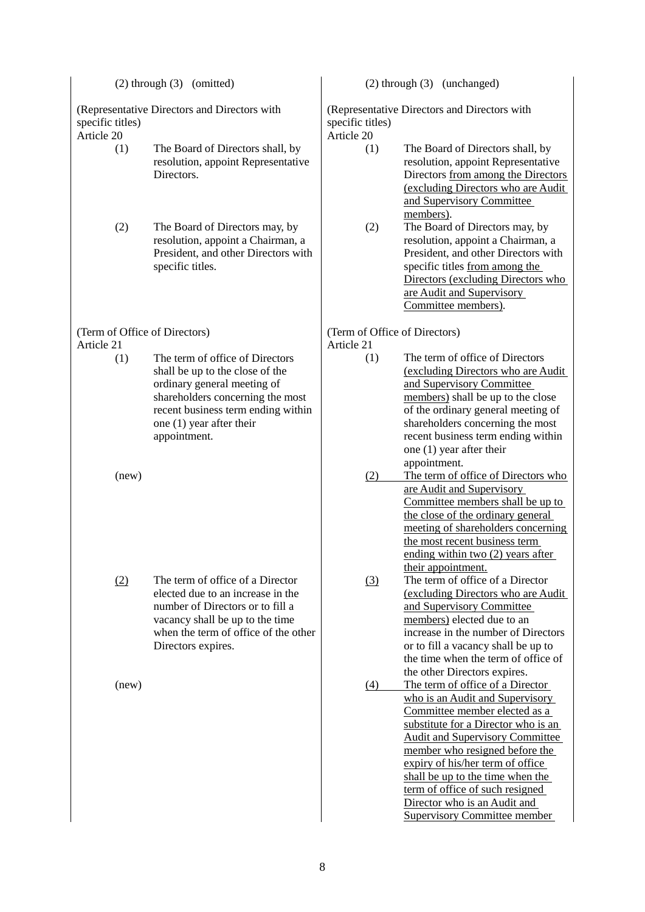(Representative Directors and Directors with specific titles)

Article 20

- (1) The Board of Directors shall, by resolution, appoint Representative Directors.
- (2) The Board of Directors may, by resolution, appoint a Chairman, a President, and other Directors with specific titles.

## (Term of Office of Directors) Article 21

(1) The term of office of Directors shall be up to the close of the ordinary general meeting of shareholders concerning the most recent business term ending within one (1) year after their appointment.

(new)

(2) The term of office of a Director elected due to an increase in the number of Directors or to fill a vacancy shall be up to the time when the term of office of the other Directors expires.

(new)

# (2) through (3) (omitted) (2) through (3) (unchanged)

(Representative Directors and Directors with specific titles)

Article 20

- (1) The Board of Directors shall, by resolution, appoint Representative Directors from among the Directors (excluding Directors who are Audit and Supervisory Committee members).
- (2) The Board of Directors may, by resolution, appoint a Chairman, a President, and other Directors with specific titles from among the Directors (excluding Directors who are Audit and Supervisory Committee members).

#### (Term of Office of Directors) Article 21

- (1) The term of office of Directors (excluding Directors who are Audit and Supervisory Committee members) shall be up to the close of the ordinary general meeting of shareholders concerning the most recent business term ending within one (1) year after their appointment.
- (2) The term of office of Directors who are Audit and Supervisory Committee members shall be up to the close of the ordinary general meeting of shareholders concerning the most recent business term ending within two (2) years after their appointment.
- (3) The term of office of a Director (excluding Directors who are Audit and Supervisory Committee members) elected due to an increase in the number of Directors or to fill a vacancy shall be up to the time when the term of office of the other Directors expires.
- (4) The term of office of a Director who is an Audit and Supervisory Committee member elected as a substitute for a Director who is an Audit and Supervisory Committee member who resigned before the expiry of his/her term of office shall be up to the time when the term of office of such resigned Director who is an Audit and Supervisory Committee member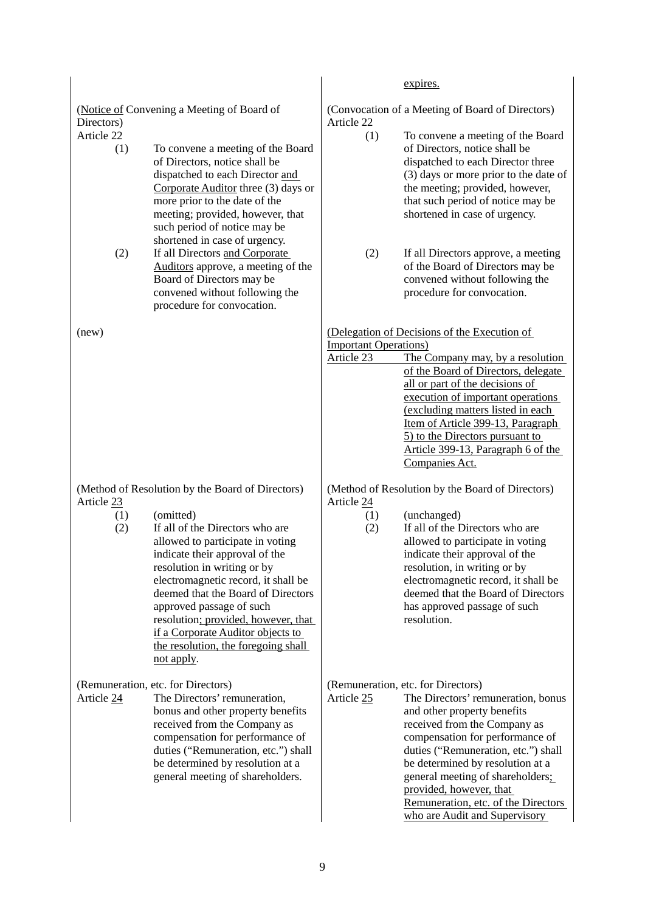(Notice of Convening a Meeting of Board of Directors) Article 22

- (1) To convene a meeting of the Board of Directors, notice shall be dispatched to each Director and Corporate Auditor three (3) days or more prior to the date of the meeting; provided, however, that such period of notice may be shortened in case of urgency.
- (2) If all Directors and Corporate Auditors approve, a meeting of the Board of Directors may be convened without following the procedure for convocation.

(Method of Resolution by the Board of Directors) Article 23

- (1) (omitted)
- (2) If all of the Directors who are allowed to participate in voting indicate their approval of the resolution in writing or by electromagnetic record, it shall be deemed that the Board of Directors approved passage of such resolution; provided, however, that if a Corporate Auditor objects to the resolution, the foregoing shall not apply.

(Remuneration, etc. for Directors)

Article 24 The Directors' remuneration, bonus and other property benefits received from the Company as compensation for performance of duties ("Remuneration, etc.") shall be determined by resolution at a general meeting of shareholders.

expires. (Convocation of a Meeting of Board of Directors) Article 22 (1) To convene a meeting of the Board of Directors, notice shall be dispatched to each Director three (3) days or more prior to the date of the meeting; provided, however, that such period of notice may be shortened in case of urgency. (2) If all Directors approve, a meeting of the Board of Directors may be convened without following the procedure for convocation. (new) (Delegation of Decisions of the Execution of Important Operations) Article 23 The Company may, by a resolution of the Board of Directors, delegate all or part of the decisions of execution of important operations (excluding matters listed in each Item of Article 399-13, Paragraph 5) to the Directors pursuant to

> Companies Act. (Method of Resolution by the Board of Directors) Article 24

Article 399-13, Paragraph 6 of the

- (1) (unchanged)
- (2) If all of the Directors who are allowed to participate in voting indicate their approval of the resolution, in writing or by electromagnetic record, it shall be deemed that the Board of Directors has approved passage of such resolution.

(Remuneration, etc. for Directors)

Article 25 The Directors' remuneration, bonus and other property benefits received from the Company as compensation for performance of duties ("Remuneration, etc.") shall be determined by resolution at a general meeting of shareholders; provided, however, that Remuneration, etc. of the Directors who are Audit and Supervisory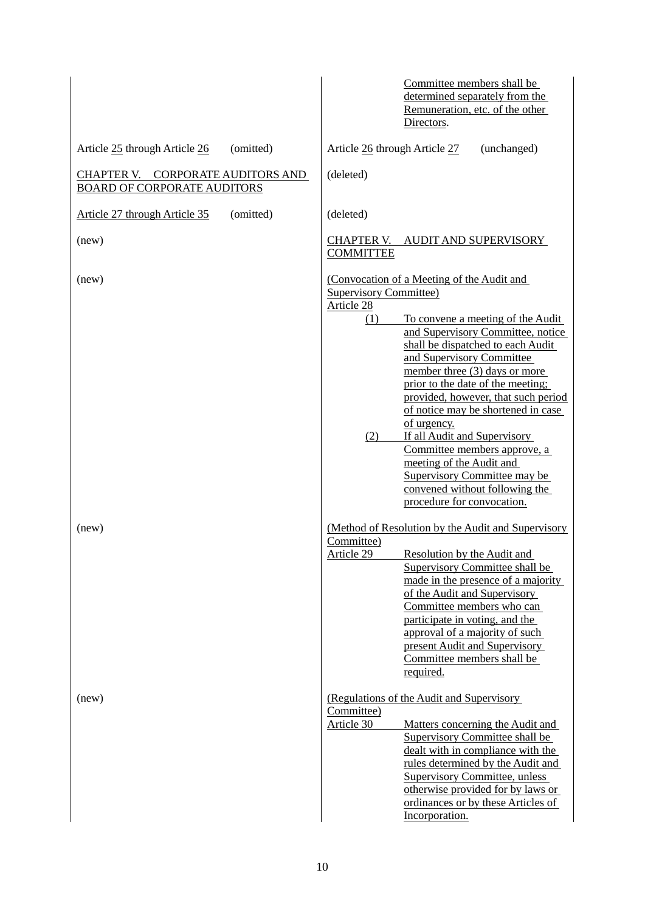|                                                                                          | Committee members shall be<br>determined separately from the<br>Remuneration, etc. of the other<br>Directors.                                                                                                                                                                                                                                                                                                                                                                                                                                                                              |
|------------------------------------------------------------------------------------------|--------------------------------------------------------------------------------------------------------------------------------------------------------------------------------------------------------------------------------------------------------------------------------------------------------------------------------------------------------------------------------------------------------------------------------------------------------------------------------------------------------------------------------------------------------------------------------------------|
| Article 25 through Article 26<br>(omitted)                                               | Article 26 through Article 27<br>(unchanged)                                                                                                                                                                                                                                                                                                                                                                                                                                                                                                                                               |
| <b>CHAPTER V.</b><br><b>CORPORATE AUDITORS AND</b><br><b>BOARD OF CORPORATE AUDITORS</b> | (deleted)                                                                                                                                                                                                                                                                                                                                                                                                                                                                                                                                                                                  |
| Article 27 through Article 35<br>(omitted)                                               | (deleted)                                                                                                                                                                                                                                                                                                                                                                                                                                                                                                                                                                                  |
| (new)                                                                                    | CHAPTER V.<br>AUDIT AND SUPERVISORY<br><b>COMMITTEE</b>                                                                                                                                                                                                                                                                                                                                                                                                                                                                                                                                    |
| (new)                                                                                    | (Convocation of a Meeting of the Audit and<br><b>Supervisory Committee)</b><br>Article 28<br>(1)<br>To convene a meeting of the Audit<br>and Supervisory Committee, notice<br>shall be dispatched to each Audit<br>and Supervisory Committee<br>member three (3) days or more<br>prior to the date of the meeting;<br>provided, however, that such period<br>of notice may be shortened in case<br>of urgency.<br>If all Audit and Supervisory<br>(2)<br>Committee members approve, a<br>meeting of the Audit and<br><b>Supervisory Committee may be</b><br>convened without following the |
| (new)                                                                                    | procedure for convocation.<br>(Method of Resolution by the Audit and Supervisory<br>Committee)<br>Article 29<br>Resolution by the Audit and<br>Supervisory Committee shall be<br>made in the presence of a majority<br>of the Audit and Supervisory<br>Committee members who can<br>participate in voting, and the<br>approval of a majority of such<br>present Audit and Supervisory<br>Committee members shall be<br>required.                                                                                                                                                           |
| (new)                                                                                    | (Regulations of the Audit and Supervisory)<br>Committee)<br>Article 30<br>Matters concerning the Audit and<br><b>Supervisory Committee shall be</b><br>dealt with in compliance with the<br>rules determined by the Audit and<br><b>Supervisory Committee, unless</b><br>otherwise provided for by laws or<br>ordinances or by these Articles of<br>Incorporation.                                                                                                                                                                                                                         |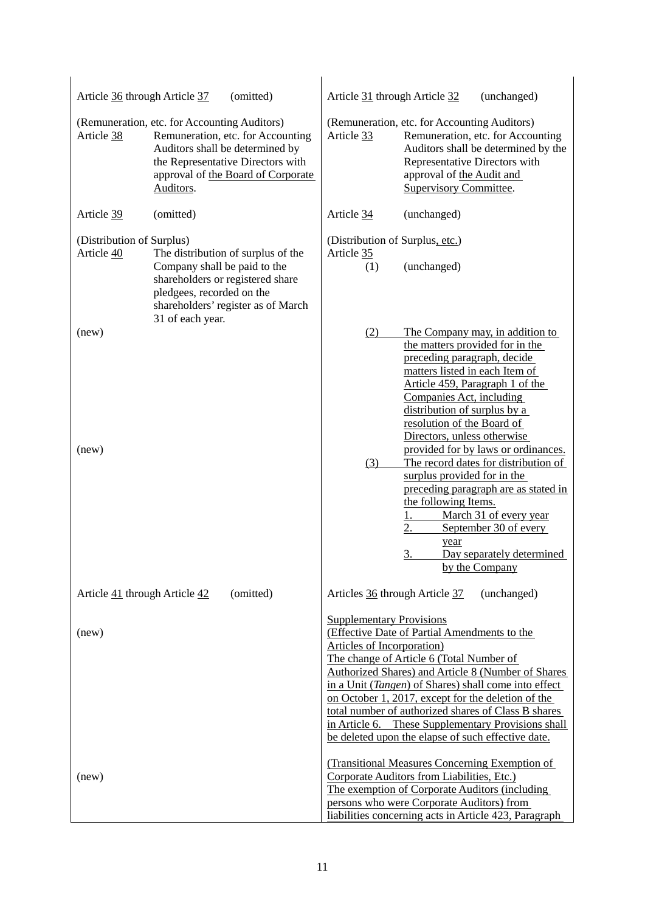| (omitted)<br>Article 36 through Article 37 |                                                                                                                                                                                                              | Article 31 through Article 32<br>(unchanged)                                                                                                                                                                                                                                                                                                                                                                                                                                                              |                                                                                                                                                                                                                                                                                                                                                                                |  |
|--------------------------------------------|--------------------------------------------------------------------------------------------------------------------------------------------------------------------------------------------------------------|-----------------------------------------------------------------------------------------------------------------------------------------------------------------------------------------------------------------------------------------------------------------------------------------------------------------------------------------------------------------------------------------------------------------------------------------------------------------------------------------------------------|--------------------------------------------------------------------------------------------------------------------------------------------------------------------------------------------------------------------------------------------------------------------------------------------------------------------------------------------------------------------------------|--|
| Article 38                                 | (Remuneration, etc. for Accounting Auditors)<br>Remuneration, etc. for Accounting<br>Auditors shall be determined by<br>the Representative Directors with<br>approval of the Board of Corporate<br>Auditors. | Article 33                                                                                                                                                                                                                                                                                                                                                                                                                                                                                                | (Remuneration, etc. for Accounting Auditors)<br>Remuneration, etc. for Accounting<br>Auditors shall be determined by the<br>Representative Directors with<br>approval of the Audit and<br><b>Supervisory Committee.</b>                                                                                                                                                        |  |
| Article 39                                 | (omitted)                                                                                                                                                                                                    | Article 34                                                                                                                                                                                                                                                                                                                                                                                                                                                                                                | (unchanged)                                                                                                                                                                                                                                                                                                                                                                    |  |
| (Distribution of Surplus)<br>Article 40    | The distribution of surplus of the<br>Company shall be paid to the<br>shareholders or registered share<br>pledgees, recorded on the<br>shareholders' register as of March<br>31 of each year.                | (Distribution of Surplus, etc.)<br>Article 35<br>(1)                                                                                                                                                                                                                                                                                                                                                                                                                                                      | (unchanged)                                                                                                                                                                                                                                                                                                                                                                    |  |
| (new)<br>(new)                             |                                                                                                                                                                                                              | (2)<br>(3)                                                                                                                                                                                                                                                                                                                                                                                                                                                                                                | The Company may, in addition to<br>the matters provided for in the<br>preceding paragraph, decide<br>matters listed in each Item of<br>Article 459, Paragraph 1 of the<br>Companies Act, including<br>distribution of surplus by a<br>resolution of the Board of<br>Directors, unless otherwise<br>provided for by laws or ordinances.<br>The record dates for distribution of |  |
|                                            |                                                                                                                                                                                                              |                                                                                                                                                                                                                                                                                                                                                                                                                                                                                                           | surplus provided for in the<br>preceding paragraph are as stated in<br>the following Items.<br>March 31 of every year<br>1.<br>2.<br>September 30 of every<br>year<br><u>3.</u><br>Day separately determined<br>by the Company                                                                                                                                                 |  |
| Article 41 through Article 42              | (omitted)                                                                                                                                                                                                    | Articles 36 through Article 37                                                                                                                                                                                                                                                                                                                                                                                                                                                                            | (unchanged)                                                                                                                                                                                                                                                                                                                                                                    |  |
| (new)                                      |                                                                                                                                                                                                              | <b>Supplementary Provisions</b><br>(Effective Date of Partial Amendments to the<br>Articles of Incorporation)<br>The change of Article 6 (Total Number of<br>Authorized Shares) and Article 8 (Number of Shares<br>in a Unit ( <i>Tangen</i> ) of Shares) shall come into effect<br>on October 1, 2017, except for the deletion of the<br>total number of authorized shares of Class B shares<br>in Article 6. These Supplementary Provisions shall<br>be deleted upon the elapse of such effective date. |                                                                                                                                                                                                                                                                                                                                                                                |  |
| (new)                                      |                                                                                                                                                                                                              |                                                                                                                                                                                                                                                                                                                                                                                                                                                                                                           | (Transitional Measures Concerning Exemption of<br>Corporate Auditors from Liabilities, Etc.)<br>The exemption of Corporate Auditors (including<br>persons who were Corporate Auditors) from<br>liabilities concerning acts in Article 423, Paragraph                                                                                                                           |  |